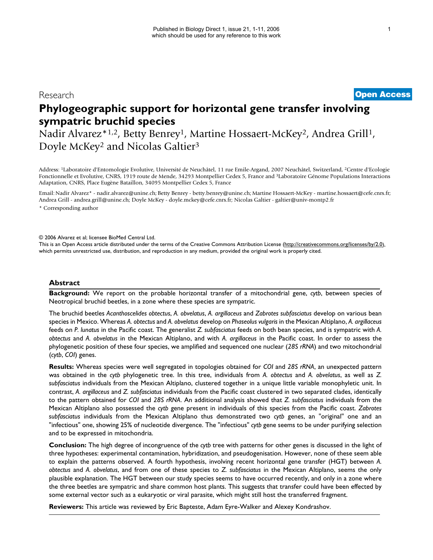Research **Open Access**

# **Phylogeographic support for horizontal gene transfer involving sympatric bruchid species**

Nadir Alvarez\*1,2, Betty Benrey<sup>1</sup>, Martine Hossaert-McKey<sup>2</sup>, Andrea Grill<sup>1</sup>, Doyle McKey2 and Nicolas Galtier3

Address: <sup>1</sup>Laboratoire d'Entomologie Evolutive, Université de Neuchâtel, 11 rue Emile-Argand, 2007 Neuchâtel, Switzerland, <sup>2</sup>Centre d'Ecologie Fonctionnelle et Evolutive, CNRS, 1919 route de Mende, 34293 Montpellier Cedex 5, France and 3Laboratoire Génome Populations Interactions Adaptation, CNRS, Place Eugène Bataillon, 34095 Montpellier Cedex 5, France

Email: Nadir Alvarez\* - nadir.alvarez@unine.ch; Betty Benrey - betty.benrey@unine.ch; Martine Hossaert-McKey - martine.hossaert@cefe.cnrs.fr; Andrea Grill - andrea.grill@unine.ch; Doyle McKey - doyle.mckey@cefe.cnrs.fr; Nicolas Galtier - galtier@univ-montp2.fr \* Corresponding author

© 2006 Alvarez et al; licensee BioMed Central Ltd.

This is an Open Access article distributed under the terms of the Creative Commons Attribution License [\(http://creativecommons.org/licenses/by/2.0\)](http://creativecommons.org/licenses/by/2.0), which permits unrestricted use, distribution, and reproduction in any medium, provided the original work is properly cited.

## **Abstract**

**Background:** We report on the probable horizontal transfer of a mitochondrial gene, *cytb*, between species of Neotropical bruchid beetles, in a zone where these species are sympatric.

The bruchid beetles *Acanthoscelides obtectus*, *A. obvelatus*, *A. argillaceus* and *Zabrotes subfasciatus* develop on various bean species in Mexico. Whereas *A. obtectus* and *A. obvelatus* develop on *Phaseolus vulgaris* in the Mexican Altiplano, *A. argillaceus* feeds on *P. lunatus* in the Pacific coast. The generalist *Z. subfasciatus* feeds on both bean species, and is sympatric with *A. obtectus* and *A. obvelatus* in the Mexican Altiplano, and with *A. argillaceus* in the Pacific coast. In order to assess the phylogenetic position of these four species, we amplified and sequenced one nuclear (*28S rRNA*) and two mitochondrial (*cytb*, *COI*) genes.

**Results:** Whereas species were well segregated in topologies obtained for *COI* and *28S rRNA*, an unexpected pattern was obtained in the *cytb* phylogenetic tree. In this tree, individuals from *A. obtectus* and *A. obvelatus*, as well as *Z. subfasciatus* individuals from the Mexican Altiplano, clustered together in a unique little variable monophyletic unit. In contrast, *A. argillaceus* and *Z. subfasciatus* individuals from the Pacific coast clustered in two separated clades, identically to the pattern obtained for *COI* and *28S rRNA*. An additional analysis showed that *Z. subfasciatus* individuals from the Mexican Altiplano also possessed the *cytb* gene present in individuals of this species from the Pacific coast. *Zabrotes subfasciatus* individuals from the Mexican Altiplano thus demonstrated two *cytb* genes, an "original" one and an "infectious" one, showing 25% of nucleotide divergence. The "infectious" *cytb* gene seems to be under purifying selection and to be expressed in mitochondria.

**Conclusion:** The high degree of incongruence of the *cytb* tree with patterns for other genes is discussed in the light of three hypotheses: experimental contamination, hybridization, and pseudogenisation. However, none of these seem able to explain the patterns observed. A fourth hypothesis, involving recent horizontal gene transfer (HGT) between *A. obtectus* and *A. obvelatus*, and from one of these species to *Z. subfasciatus* in the Mexican Altiplano, seems the only plausible explanation. The HGT between our study species seems to have occurred recently, and only in a zone where the three beetles are sympatric and share common host plants. This suggests that transfer could have been effected by some external vector such as a eukaryotic or viral parasite, which might still host the transferred fragment.

**Reviewers:** This article was reviewed by Eric Bapteste, Adam Eyre-Walker and Alexey Kondrashov.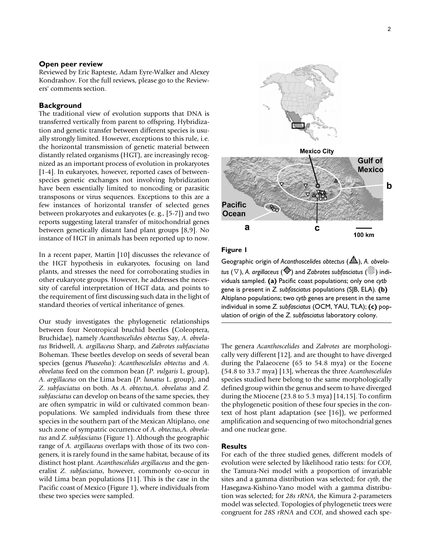# **Open peer review**

Reviewed by Eric Bapteste, Adam Eyre-Walker and Alexey Kondrashov. For the full reviews, please go to the Reviewers' comments section.

# **Background**

The traditional view of evolution supports that DNA is transferred vertically from parent to offspring. Hybridization and genetic transfer between different species is usually strongly limited. However, exceptions to this rule, i.e. the horizontal transmission of genetic material between distantly related organisms (HGT), are increasingly recognized as an important process of evolution in prokaryotes [1-4]. In eukaryotes, however, reported cases of betweenspecies genetic exchanges not involving hybridization have been essentially limited to noncoding or parasitic transposons or virus sequences. Exceptions to this are a few instances of horizontal transfer of selected genes between prokaryotes and eukaryotes (e. g., [5-7]) and two reports suggesting lateral transfer of mitochondrial genes between genetically distant land plant groups [8,9]. No instance of HGT in animals has been reported up to now.

In a recent paper, Martin [10] discusses the relevance of the HGT hypothesis in eukaryotes, focusing on land plants, and stresses the need for corroborating studies in other eukaryote groups. However, he addresses the necessity of careful interpretation of HGT data, and points to the requirement of first discussing such data in the light of standard theories of vertical inheritance of genes.

Our study investigates the phylogenetic relationships between four Neotropical bruchid beetles (Coleoptera, Bruchidae), namely *Acanthoscelides obtectus* Say, *A. obvelatus* Bridwell, *A. argillaceus* Sharp, and *Zabrotes subfasciatus* Boheman. These beetles develop on seeds of several bean species (genus *Phaseolus*): *Acanthoscelides obtectus* and *A. obvelatus* feed on the common bean (*P. vulgaris* L. group), *A. argillaceus* on the Lima bean (*P. lunatus* L. group), and *Z. subfasciatus* on both. As *A. obtectus*,*A. obvelatus* and *Z. subfasciatus* can develop on beans of the same species, they are often sympatric in wild or cultivated common beanpopulations. We sampled individuals from these three species in the southern part of the Mexican Altiplano, one such zone of sympatric occurrence of *A. obtectus*,*A. obvelatus* and *Z. subfasciatus* (Figure 1). Although the geographic range of *A. argillaceus* overlaps with those of its two congeners, it is rarely found in the same habitat, because of its distinct host plant. *Acanthoscelides argillaceus* and the generalist *Z. subfasciatus*, however, commonly co-occur in wild Lima bean populations [11]. This is the case in the Pacific coast of Mexico (Figure 1), where individuals from these two species were sampled.



## $Figure 1$

Geographic origin of *Acanthoscelides obtectus* ( $\mathbf{d}\mathbf{h}$ ), *A. obvelatus* (Ќ), *A. argillaceus* ( ) and *Zabrotes subfasciatus* ( ) individuals sampled. **(a)** Pacific coast populations; only one *cytb*  gene is present in *Z. subfasciatus* populations (SJB, ELA). **(b)**  Altiplano populations; two *cytb* genes are present in the same individual in some *Z. subfasciatus* (OCM, YAU, TLA); **(c)** population of origin of the *Z. subfasciatus* laboratory colony.

The genera *Acanthoscelides* and *Zabrotes* are morphologically very different [12], and are thought to have diverged during the Palaeocene (65 to 54.8 mya) or the Eocene (54.8 to 33.7 mya) [13], whereas the three *Acanthoscelides* species studied here belong to the same morphologically defined group within the genus and seem to have diverged during the Miocene (23.8 to 5.3 mya) [14,15]. To confirm the phylogenetic position of these four species in the context of host plant adaptation (see [16]), we performed amplification and sequencing of two mitochondrial genes and one nuclear gene.

# **Results**

For each of the three studied genes, different models of evolution were selected by likelihood ratio tests: for *COI*, the Tamura-Nei model with a proportion of invariable sites and a gamma distribution was selected; for *cytb*, the Hasegawa-Kishino-Yano model with a gamma distribution was selected; for *28s rRNA*, the Kimura 2-parameters model was selected. Topologies of phylogenetic trees were congruent for *28S rRNA* and *COI*, and showed each spe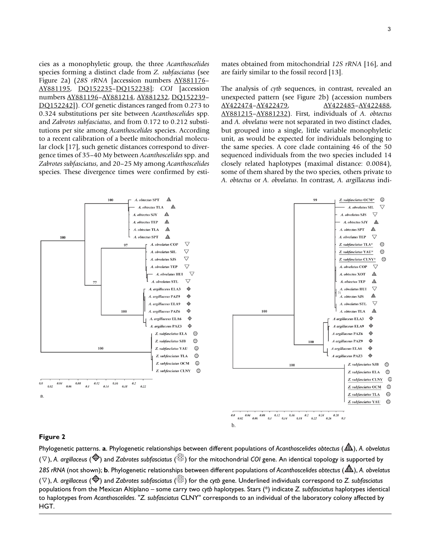cies as a monophyletic group, the three *Acanthoscelides* species forming a distinct clade from *Z. subfasciatus* (see Figure 2a) (*28S rRNA* [accession numbers [AY881176–](http://www.ncbi.nih.gov/entrez/query.fcgi?db=Nucleotide&cmd=search&term=AY881176) [AY881195](http://www.ncbi.nih.gov/entrez/query.fcgi?db=Nucleotide&cmd=search&term=AY881195), [DQ152235–](http://www.ncbi.nih.gov/entrez/query.fcgi?db=Nucleotide&cmd=search&term=DQ152235)[DQ152238\]](http://www.ncbi.nih.gov/entrez/query.fcgi?db=Nucleotide&cmd=search&term=DQ152238); *COI* [accession numbers [AY881196](http://www.ncbi.nih.gov/entrez/query.fcgi?db=Nucleotide&cmd=search&term=AY881196)[–AY881214,](http://www.ncbi.nih.gov/entrez/query.fcgi?db=Nucleotide&cmd=search&term=AY881214) [AY881232,](http://www.ncbi.nih.gov/entrez/query.fcgi?db=Nucleotide&cmd=search&term=AY881232) [DQ152239–](http://www.ncbi.nih.gov/entrez/query.fcgi?db=Nucleotide&cmd=search&term=DQ152239) [DQ152242](http://www.ncbi.nih.gov/entrez/query.fcgi?db=Nucleotide&cmd=search&term=DQ152242)]). *COI* genetic distances ranged from 0.273 to 0.324 substitutions per site between *Acanthoscelides* spp. and *Zabrotes subfasciatus*, and from 0.172 to 0.212 substitutions per site among *Acanthoscelides* species. According to a recent calibration of a beetle mitochondrial molecular clock [17], such genetic distances correspond to divergence times of 35–40 My between *Acanthoscelides* spp. and *Zabrotes subfasciatus*, and 20–25 My among *Acanthoscelides* species. These divergence times were confirmed by estimates obtained from mitochondrial *12S rRNA* [16], and are fairly similar to the fossil record [13].

The analysis of *cytb* sequences, in contrast, revealed an unexpected pattern (see Figure 2b) (accession numbers [AY422474](http://www.ncbi.nih.gov/entrez/query.fcgi?db=Nucleotide&cmd=search&term=AY422474)–[AY422479,](http://www.ncbi.nih.gov/entrez/query.fcgi?db=Nucleotide&cmd=search&term=AY422479) [AY422485](http://www.ncbi.nih.gov/entrez/query.fcgi?db=Nucleotide&cmd=search&term=AY422485)[–AY422488,](http://www.ncbi.nih.gov/entrez/query.fcgi?db=Nucleotide&cmd=search&term=AY422488) [AY881215](http://www.ncbi.nih.gov/entrez/query.fcgi?db=Nucleotide&cmd=search&term=AY881215)–[AY881232\)](http://www.ncbi.nih.gov/entrez/query.fcgi?db=Nucleotide&cmd=search&term=AY881232). First, individuals of *A. obtectus* and *A. obvelatus* were not separated in two distinct clades, but grouped into a single, little variable monophyletic unit, as would be expected for individuals belonging to the same species. A core clade containing 46 of the 50 sequenced individuals from the two species included 14 closely related haplotypes (maximal distance: 0.0084), some of them shared by the two species, others private to *A. obtectus* or *A. obvelatus*. In contrast, *A. argillaceus* indi-



 $<sub>b</sub>$ </sub>

# **Figure 2**

Phylogenetic patterns. **a**. Phylogenetic relationships between different populations of *Acanthoscelides obtectus* ( ), *A. obvelatus* (Ќ), *A. argillaceus* ( ) and *Zabrotes subfasciatus* ( ) for the mitochondrial *COI* gene. An identical topology is supported by *28S rRNA* (not shown); **b**. Phylogenetic relationships between different populations of *Acanthoscelides obtectus* ( ), *A. obvelatus*  (Ќ), *A. argillaceus* ( ) and *Zabrotes subfasciatus* ( ) for the *cytb* gene. Underlined individuals correspond to *Z. subfasciatus*  populations from the Mexican Altiplano – some carry two *cytb* haplotypes. Stars (\*) indicate *Z. subfasciatus* haplotypes identical to haplotypes from *Acanthoscelides*. "*Z. subfasciatus* CLNY" corresponds to an individual of the laboratory colony affected by HGT.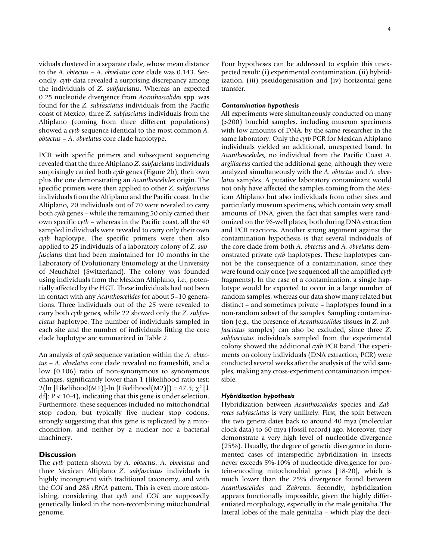viduals clustered in a separate clade, whose mean distance to the *A. obtectus* – *A. obvelatus* core clade was 0.143. Secondly, *cytb* data revealed a surprising discrepancy among the individuals of *Z. subfasciatus*. Whereas an expected 0.25 nucleotide divergence from *Acanthoscelides* spp. was found for the *Z. subfasciatus* individuals from the Pacific coast of Mexico, three *Z. subfasciatus* individuals from the Altiplano (coming from three different populations) showed a *cytb* sequence identical to the most common *A. obtectus* – *A. obvelatus* core clade haplotype.

PCR with specific primers and subsequent sequencing revealed that the three Altiplano *Z. subfasciatus* individuals surprisingly carried both *cytb* genes (Figure 2b), their own plus the one demonstrating an *Acanthoscelides* origin. The specific primers were then applied to other *Z. subfasciatus* individuals from the Altiplano and the Pacific coast. In the Altiplano, 20 individuals out of 70 were revealed to carry both *cytb* genes – while the remaining 50 only carried their own specific *cytb* – whereas in the Pacific coast, all the 40 sampled individuals were revealed to carry only their own *cytb* haplotype. The specific primers were then also applied to 25 individuals of a laboratory colony of *Z. subfasciatus* that had been maintained for 10 months in the Laboratory of Evolutionary Entomology at the University of Neuchâtel (Switzerland). The colony was founded using individuals from the Mexican Altiplano, i.e., potentially affected by the HGT. These individuals had not been in contact with any *Acanthoscelides* for about 5–10 generations. Three individuals out of the 25 were revealed to carry both *cytb* genes, while 22 showed only the *Z. subfasciatus* haplotype. The number of individuals sampled in each site and the number of individuals fitting the core clade haplotype are summarized in Table 2.

An analysis of *cytb* sequence variation within the *A. obtectus* – *A. obvelatus* core clade revealed no frameshift, and a low (0.106) ratio of non-synonymous to synonymous changes, significantly lower than 1 (likelihood ratio test: 2(ln [Likelihood(M1)]-ln [Likelihood(M2)]) = 47.5;  $\chi^2$ [1  $df$ :  $P < 10-4$ ), indicating that this gene is under selection. Furthermore, these sequences included no mitochondrial stop codon, but typically five nuclear stop codons, strongly suggesting that this gene is replicated by a mitochondrion, and neither by a nuclear nor a bacterial machinery.

# **Discussion**

The *cytb* pattern shown by *A. obtectus*, *A. obvelatus* and three Mexican Altiplano *Z. subfasciatus* individuals is highly incongruent with traditional taxonomy, and with the *COI* and *28S rRNA* pattern. This is even more astonishing, considering that *cytb* and *COI* are supposedly genetically linked in the non-recombining mitochondrial genome.

Four hypotheses can be addressed to explain this unexpected result: (i) experimental contamination, (ii) hybridization, (iii) pseudogenisation and (iv) horizontal gene transfer.

## *Contamination hypothesis*

All experiments were simultaneously conducted on many (>200) bruchid samples, including museum specimens with low amounts of DNA, by the same researcher in the same laboratory. Only the *cytb* PCR for Mexican Altiplano individuals yielded an additional, unexpected band. In *Acanthoscelides*, no individual from the Pacific Coast *A. argillaceus* carried the additional gene, although they were analyzed simultaneously with the *A. obtectus* and *A. obvelatus* samples. A putative laboratory contaminant would not only have affected the samples coming from the Mexican Altiplano but also individuals from other sites and particularly museum specimens, which contain very small amounts of DNA, given the fact that samples were randomized on the 96-well plates, both during DNA extraction and PCR reactions. Another strong argument against the contamination hypothesis is that several individuals of the core clade from both *A. obtectus* and *A. obvelatus* demonstrated private *cytb* haplotypes. These haplotypes cannot be the consequence of a contamination, since they were found only once (we sequenced all the amplified *cytb* fragments). In the case of a contamination, a single haplotype would be expected to occur in a large number of random samples, whereas our data show many related but distinct – and sometimes private – haplotypes found in a non-random subset of the samples. Sampling contamination (e.g., the presence of *Acanthoscelides* tissues in *Z. subfasciatus* samples) can also be excluded, since three *Z. subfasciatus* individuals sampled from the experimental colony showed the additional *cytb* PCR band. The experiments on colony individuals (DNA extraction, PCR) were conducted several weeks after the analysis of the wild samples, making any cross-experiment contamination impossible.

# *Hybridization hypothesis*

Hybridization between *Acanthoscelides* species and *Zabrotes subfasciatus* is very unlikely. First, the split between the two genera dates back to around 40 mya (molecular clock data) to 60 mya (fossil record) ago. Moreover, they demonstrate a very high level of nucleotide divergence (25%). Usually, the degree of genetic divergence in documented cases of interspecific hybridization in insects never exceeds 5%-10% of nucleotide divergence for protein-encoding mitochondrial genes [18-20], which is much lower than the 25% divergence found between *Acanthoscelides* and *Zabrotes*. Secondly, hybridization appears functionally impossible, given the highly differentiated morphology, especially in the male genitalia. The lateral lobes of the male genitalia – which play the deci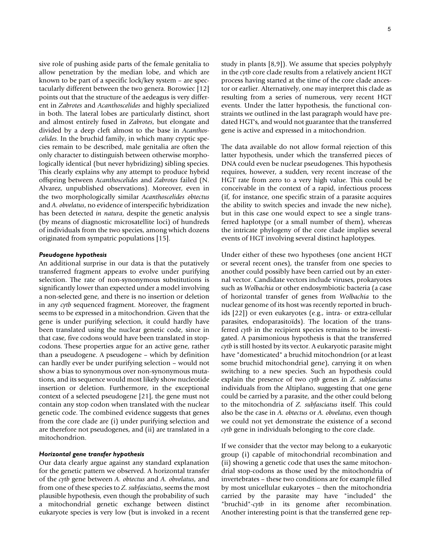sive role of pushing aside parts of the female genitalia to allow penetration by the median lobe, and which are known to be part of a specific lock/key system – are spectacularly different between the two genera. Borowiec [12] points out that the structure of the aedeagus is very different in *Zabrotes* and *Acanthoscelides* and highly specialized in both. The lateral lobes are particularly distinct, short and almost entirely fused in *Zabrotes*, but elongate and divided by a deep cleft almost to the base in *Acanthoscelides*. In the bruchid family, in which many cryptic species remain to be described, male genitalia are often the only character to distinguish between otherwise morphologically identical (but never hybridizing) sibling species. This clearly explains why any attempt to produce hybrid offspring between *Acanthoscelides* and *Zabrotes* failed (N. Alvarez, unpublished observations). Moreover, even in the two morphologically similar *Acanthoscelides obtectus* and *A. obvelatus*, no evidence of interspecific hybridization has been detected *in natura*, despite the genetic analysis (by means of diagnostic microsatellite loci) of hundreds of individuals from the two species, among which dozens originated from sympatric populations [15].

## *Pseudogene hypothesis*

An additional surprise in our data is that the putatively transferred fragment appears to evolve under purifying selection. The rate of non-synonymous substitutions is significantly lower than expected under a model involving a non-selected gene, and there is no insertion or deletion in any *cytb* sequenced fragment. Moreover, the fragment seems to be expressed in a mitochondrion. Given that the gene is under purifying selection, it could hardly have been translated using the nuclear genetic code, since in that case, five codons would have been translated in stopcodons. These properties argue for an active gene, rather than a pseudogene. A pseudogene – which by definition can hardly ever be under purifying selection – would not show a bias to synonymous over non-synonymous mutations, and its sequence would most likely show nucleotide insertion or deletion. Furthermore, in the exceptional context of a selected pseudogene [21], the gene must not contain any stop codon when translated with the nuclear genetic code. The combined evidence suggests that genes from the core clade are (i) under purifying selection and are therefore not pseudogenes, and (ii) are translated in a mitochondrion.

## *Horizontal gene transfer hypothesis*

Our data clearly argue against any standard explanation for the genetic pattern we observed. A horizontal transfer of the *cytb* gene between *A. obtectus* and *A. obvelatus*, and from one of these species to *Z. subfasciatus*, seems the most plausible hypothesis, even though the probability of such a mitochondrial genetic exchange between distinct eukaryote species is very low (but is invoked in a recent study in plants [8,9]). We assume that species polyphyly in the *cytb* core clade results from a relatively ancient HGT process having started at the time of the core clade ancestor or earlier. Alternatively, one may interpret this clade as resulting from a series of numerous, very recent HGT events. Under the latter hypothesis, the functional constraints we outlined in the last paragraph would have predated HGT's, and would not guarantee that the transferred gene is active and expressed in a mitochondrion.

The data available do not allow formal rejection of this latter hypothesis, under which the transferred pieces of DNA could even be nuclear pseudogenes. This hypothesis requires, however, a sudden, very recent increase of the HGT rate from zero to a very high value. This could be conceivable in the context of a rapid, infectious process (if, for instance, one specific strain of a parasite acquires the ability to switch species and invade the new niche), but in this case one would expect to see a single transferred haplotype (or a small number of them), whereas the intricate phylogeny of the core clade implies several events of HGT involving several distinct haplotypes.

Under either of these two hypotheses (one ancient HGT or several recent ones), the transfer from one species to another could possibly have been carried out by an external vector. Candidate vectors include viruses, prokaryotes such as *Wolbachia* or other endosymbiotic bacteria (a case of horizontal transfer of genes from *Wolbachia* to the nuclear genome of its host was recently reported in bruchids [22]) or even eukaryotes (e.g., intra- or extra-cellular parasites, endoparasitoïds). The location of the transferred *cytb* in the recipient species remains to be investigated. A parsimonious hypothesis is that the transferred *cytb* is still hosted by its vector. A eukaryotic parasite might have "domesticated" a bruchid mitochondrion (or at least some bruchid mitochondrial gene), carrying it on when switching to a new species. Such an hypothesis could explain the presence of two *cytb* genes in *Z. subfasciatus* individuals from the Altiplano, suggesting that one gene could be carried by a parasite, and the other could belong to the mitochondria of *Z. subfasciatus* itself. This could also be the case in *A. obtectus* or *A. obvelatus*, even though we could not yet demonstrate the existence of a second *cytb* gene in individuals belonging to the core clade.

If we consider that the vector may belong to a eukaryotic group (i) capable of mitochondrial recombination and (ii) showing a genetic code that uses the same mitochondrial stop-codons as those used by the mitochondria of invertebrates – these two conditions are for example filled by most unicellular eukaryotes – then the mitochondria carried by the parasite may have "included" the "bruchid"-*cytb* in its genome after recombination. Another interesting point is that the transferred gene rep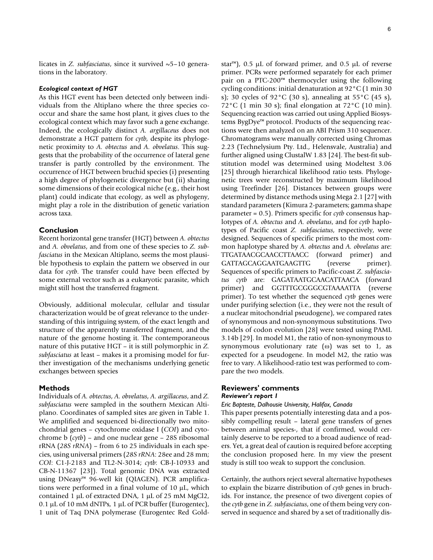licates in *Z. subfasciatus*, since it survived ~5–10 generations in the laboratory.

# *Ecological context of HGT*

As this HGT event has been detected only between individuals from the Altiplano where the three species cooccur and share the same host plant, it gives clues to the ecological context which may favor such a gene exchange. Indeed, the ecologically distinct *A. argillaceus* does not demonstrate a HGT pattern for *cytb*, despite its phylogenetic proximity to *A. obtectus* and *A. obvelatus*. This suggests that the probability of the occurrence of lateral gene transfer is partly controlled by the environment. The occurrence of HGT between bruchid species (i) presenting a high degree of phylogenetic divergence but (ii) sharing some dimensions of their ecological niche (e.g., their host plant) could indicate that ecology, as well as phylogeny, might play a role in the distribution of genetic variation across taxa.

# **Conclusion**

Recent horizontal gene transfer (HGT) between *A. obtectus* and *A. obvelatus*, and from one of these species to *Z. subfasciatus* in the Mexican Altiplano, seems the most plausible hypothesis to explain the pattern we observed in our data for *cytb*. The transfer could have been effected by some external vector such as a eukaryotic parasite, which might still host the transferred fragment.

Obviously, additional molecular, cellular and tissular characterization would be of great relevance to the understanding of this intriguing system, of the exact length and structure of the apparently transferred fragment, and the nature of the genome hosting it. The contemporaneous nature of this putative HGT – it is still polymorphic in *Z. subfasciatus* at least – makes it a promising model for further investigation of the mechanisms underlying genetic exchanges between species

## **Methods**

Individuals of *A. obtectus*, *A. obvelatus*, *A. argillaceus*, and *Z. subfasciatus* were sampled in the southern Mexican Altiplano. Coordinates of sampled sites are given in Table 1. We amplified and sequenced bi-directionally two mitochondrial genes – cytochrome oxidase I (*COI*) and cytochrome b (*cytb*) – and one nuclear gene – 28S ribosomal rRNA (*28S rRNA*) – from 6 to 25 individuals in each species, using universal primers (*28S rRNA*: 28ee and 28 mm; *COI*: C1-J-2183 and TL2-N-3014; *cytb*: CB-J-10933 and CB-N-11367 [23]). Total genomic DNA was extracted using DNeasy™ 96-well kit (QIAGEN). PCR amplifications were performed in a final volume of 10 µL, which contained 1  $\mu$ L of extracted DNA, 1  $\mu$ L of 25 mM MgCl2, 0.1 µL of 10 mM dNTPs, 1 µL of PCR buffer (Eurogentec), 1 unit of Taq DNA polymerase (Eurogentec Red Goldstar<sup>m</sup>), 0.5 µL of forward primer, and 0.5 µL of reverse primer. PCRs were performed separately for each primer pair on a PTC-200™ thermocycler using the following cycling conditions: initial denaturation at 92°C (1 min 30 s); 30 cycles of 92°C (30 s), annealing at  $55^{\circ}$ C (45 s), 72 $^{\circ}$ C (1 min 30 s); final elongation at 72 $^{\circ}$ C (10 min). Sequencing reaction was carried out using Applied Biosystems BygDye™ protocol. Products of the sequencing reactions were then analyzed on an ABI Prism 310 sequencer. Chromatograms were manually corrected using Chromas 2.23 (Technelysium Pty. Ltd., Helensvale, Australia) and further aligned using ClustalW 1.83 [24]. The best-fit substitution model was determined using Modeltest 3.06 [25] through hierarchical likelihood ratio tests. Phylogenetic trees were reconstructed by maximum likelihood using Treefinder [26]. Distances between groups were determined by distance methods using Mega 2.1 [27] with standard parameters (Kimura 2-parameters; gamma shape parameter = 0.5). Primers specific for *cytb* consensus haplotypes of *A. obtectus* and *A. obvelatus*, and for *cytb* haplotypes of Pacific coast *Z. subfasciatus*, respectively, were designed. Sequences of specific primers to the most common haplotype shared by *A. obtectus* and *A. obvelatus* are: TTGATAACGCAACCTTAACC (forward primer) and GATTAGCAGGAATGAAGTTG (reverse primer). Sequences of specific primers to Pacific-coast *Z. subfasciatus cytb* are: GAGATAATGCAACATTAACA (forward primer) and GGTTTGCGGGCGTAAAATTA (reverse primer). To test whether the sequenced *cytb* genes were under purifying selection (i.e., they were not the result of a nuclear mitochondrial pseudogene), we compared rates of synonymous and non-synonymous substitutions. Two models of codon evolution [28] were tested using PAML 3.14b [29]. In model M1, the ratio of non-synonymous to synonymous evolutionary rate  $(\omega)$  was set to 1, as expected for a pseudogene. In model M2, the ratio was free to vary. A likelihood-ratio test was performed to compare the two models.

# **Reviewers' comments** *Reviewer's report 1*

#### *Eric Bapteste, Dalhousie University, Halifax, Canada*

This paper presents potentially interesting data and a possibly compelling result – lateral gene transfers of genes between animal species-, that if confirmed, would certainly deserve to be reported to a broad audience of readers. Yet, a great deal of caution is required before accepting the conclusion proposed here. In my view the present study is still too weak to support the conclusion.

Certainly, the authors reject several alternative hypotheses to explain the bizarre distribution of *cytb* genes in bruchids. For instance, the presence of two divergent copies of the *cytb* gene in *Z. subfasciatus*, one of them being very conserved in sequence and shared by a set of traditionally dis-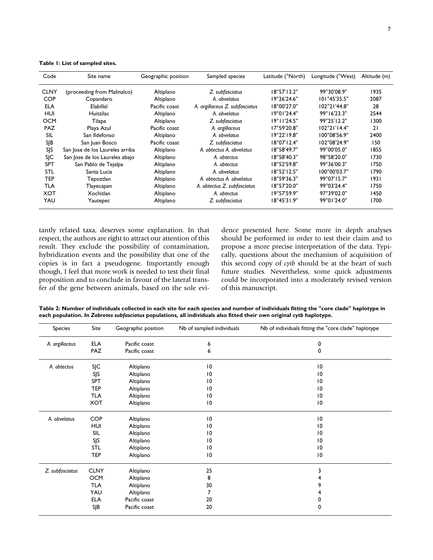| Code        | Site name                       | Geographic position | Sampled species                | Latitude (°North)    | Longitude (°West)     | Altitude (m) |
|-------------|---------------------------------|---------------------|--------------------------------|----------------------|-----------------------|--------------|
| <b>CLNY</b> | (proceeding from Malinalco)     | Altiplano           | Z. subfasciatus                | 18°57'13.2"          | 99°30'08.9"           | 1935         |
| <b>COP</b>  | Copandaro                       | Altiplano           | A. obvelatus                   | 19°26'24.6"          | $101^{\circ}45'35.5"$ | 2087         |
| <b>ELA</b>  | Elabillal                       | Pacific coast       | A. argillaceus Z. subfasciatus | 18°00'27.0"          | 102°21'44.8"          | 28           |
| <b>HUI</b>  | Huitzilac                       | Altiplano           | A. obvelatus                   | 19°01'24.4"          | 99°16'23.3"           | 2544         |
| <b>OCM</b>  | Tilapa                          | Altiplano           | Z. subfasciatus                | 19°11'24.5"          | 99°25'12.2"           | 1300         |
| PAZ         | Playa Azul                      | Pacific coast       | A. argillaceus                 | 17°59'20.8"          | $102^{\circ}21'14.4"$ | 21           |
| <b>SIL</b>  | San Ildefonso                   | Altiplano           | A. obvelatus                   | 19°22'19.8"          | 100°08'56.9"          | 2400         |
| SJB         | San Juan Bosco                  | Pacific coast       | Z. subfasciatus                | $18^{\circ}07'12.4"$ | 102°08'24.9"          | 150          |
| SJS         | San Jose de los Laureles arriba | Altiplano           | A. obtectus A. obvelatus       | 18°58'49.7"          | 99°00'05.0"           | 1855         |
| SJC         | San Jose de los Laureles abajo  | Altiplano           | A. obtectus                    | 18°58'40.3"          | 98°58'20.0"           | 1730         |
| <b>SPT</b>  | San Pablo de Tejalpa            | Altiplano           | A. obtectus                    | 18°52'59.8"          | 99°36'00.3"           | 1750         |
| <b>STL</b>  | Santa Lucia                     | Altiplano           | A. obvelatus                   | 18°52'12.5"          | 100°00'03.7"          | 1790         |
| <b>TEP</b>  | Tepoztlan                       | Altiplano           | A. obtectus A. obvelatus       | 18°59'36.3"          | 99°07'15.7"           | 1931         |
| TLA         | Tlayecapan                      | Altiplano           | A. obtectus Z. subfasciatus    | 18°57'20.0"          | 99°03'24.4"           | 1750         |
| <b>XOT</b>  | Xochitlan                       | Altiplano           | A. obtectus                    | 19°57'59.9"          | 97°39'02.0"           | 1450         |
| YAU         | Yautepec                        | Altiplano           | Z. subfasciatus                | 18°45'31.9"          | 99°01'24.0"           | 1700         |

**Table 1: List of sampled sites.**

tantly related taxa, deserves some explanation. In that respect, the authors are right to attract our attention of this result. They exclude the possibility of contamination, hybridization events and the possibility that one of the copies is in fact a pseudogene. Importantly enough though, I feel that more work is needed to test their final proposition and to conclude in favour of the lateral transfer of the gene between animals, based on the sole evidence presented here. Some more in depth analyses should be performed in order to test their claim and to propose a more precise interpretation of the data. Typically, questions about the mechanism of acquisition of this second copy of *cytb* should be at the heart of such future studies. Nevertheless, some quick adjustments could be incorporated into a moderately revised version of this manuscript.

**Table 2: Number of individuals collected in each site for each species and number of individuals fitting the "core clade" haplotype in each population. In** *Zabrotes subfasciatus* **populations, all individuals also fitted their own original** *cytb* **haplotype.**

| Species         | Site        | Geographic position | Nb of sampled individuals | Nb of individuals fitting the "core clade" haplotype |
|-----------------|-------------|---------------------|---------------------------|------------------------------------------------------|
| A. argillaceus  | <b>ELA</b>  | Pacific coast       | 6                         | 0                                                    |
|                 | <b>PAZ</b>  | Pacific coast       | 6                         | 0                                                    |
| A. obtectus     | SJC         | Altiplano           | $\overline{10}$           | $\overline{10}$                                      |
|                 | SJS         | Altiplano           | $\overline{10}$           | 10                                                   |
|                 | <b>SPT</b>  | Altiplano           | $\overline{10}$           | 10                                                   |
|                 | <b>TEP</b>  | Altiplano           | 10                        | 10                                                   |
|                 | <b>TLA</b>  | Altiplano           | 10                        | 10                                                   |
|                 | <b>XOT</b>  | Altiplano           | 10                        | 10                                                   |
| A. obvelatus    | <b>COP</b>  | Altiplano           | $\overline{10}$           | $\overline{10}$                                      |
|                 | HUI         | Altiplano           | $\overline{10}$           | 10                                                   |
|                 | <b>SIL</b>  | Altiplano           | $\overline{10}$           | 10                                                   |
|                 | SJS         | Altiplano           | $\overline{10}$           | 10                                                   |
|                 | <b>STL</b>  | Altiplano           | 10                        | 10                                                   |
|                 | <b>TEP</b>  | Altiplano           | 10                        | 10                                                   |
| Z. subfasciatus | <b>CLNY</b> | Altiplano           | 25                        | 3                                                    |
|                 | <b>OCM</b>  | Altiplano           | 8                         | 4                                                    |
|                 | <b>TLA</b>  | Altiplano           | 30                        | 9                                                    |
|                 | YAU         | Altiplano           | 7                         | 4                                                    |
|                 | <b>ELA</b>  | Pacific coast       | 20                        | 0                                                    |
|                 | SJB         | Pacific coast       | 20                        | 0                                                    |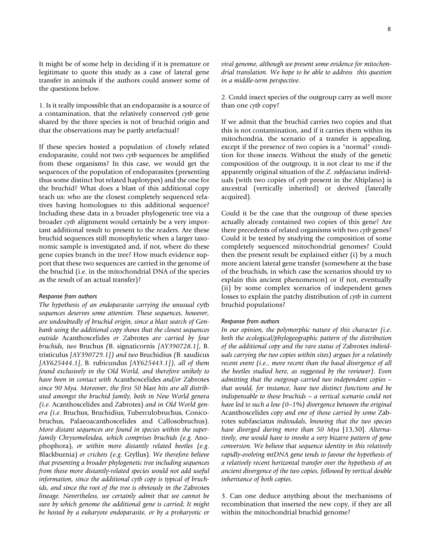It might be of some help in deciding if it is premature or legitimate to quote this study as a case of lateral gene transfer in animals if the authors could answer some of the questions below.

1. Is it really impossible that an endoparasite is a source of a contamination, that the relatively conserved *cytb* gene shared by the three species is not of bruchid origin and that the observations may be partly artefactual?

If these species hosted a population of closely related endoparasite, could not two *cytb* sequences be amplified from these organisms? In this case, we would get the sequences of the population of endoparasites (presenting thus some distinct but related haplotypes) and the one for the bruchid? What does a blast of this additional copy teach us: who are the closest completely sequenced relatives having homologues to this additional sequence? Including these data in a broader phylogenetic tree via a broader *cytb* alignment would certainly be a very important additional result to present to the readers. Are these bruchid sequences still monophyletic when a larger taxonomic sample is investigated and, if not, where do these gene copies branch in the tree? How much evidence support that these two sequences are carried in the genome of the bruchid (i.e. in the mitochondrial DNA of the species as the result of an actual transfer)?

## *Response from authors*

*The hypothesis of an endoparasite carrying the unusual* cytb *sequences deserves some attention. These sequences, however, are undoubtedly of bruchid origin, since a blast search of Genbank using the additional copy shows that the closest sequences outside* Acanthoscelides *or* Zabrotes *are carried by four bruchids, two* Bruchus *(*B. signaticornis *[AY390728.1]*, B. tristiculus *[AY390729.1]) and two* Bruchidius *(*B. saudicus *[AY625444.1]*, B. rubicundus *[AY625443.1]), all of them found exclusively in the Old World, and therefore unikely to have been in contact with* Acanthoscelides *and/or* Zabrotes *since 90 Mya. Moreover, the first 50 blast hits are all distributed amongst the bruchid family, both in New World genera (i.e*. Acanthoscelides and Zabrotes) *and in Old World genera (i.e*. Bruchus, Bruchidius, Tuberculobruchus, Conicobruchus, Palaeoacanthoscelides and Callosobruchus). *More distant sequences are found in species within the superfamily Chrysomeloidea, which comprises bruchids (e.g*. Anophophora), *or within more distantly related beetles (e.g*. Blackburnia) *or crickets (e.g*. Gryllus). *We therefore believe that presenting a broader phylogenetic tree including sequences from these more distantly-related species would not add useful information, since the additional cytb copy is typical of bruchids, and since the root of the tree is obviously in the* Zabrotes *lineage. Nevertheless, we certainly admit that we cannot be sure by which genome the additional gene is carried; It might be hosted by a eukaryote endoparasite, or by a prokaryotic or* *viral genome, although we present some evidence for mitochondrial translation. We hope to be able to address this question in a middle-term perspective*.

2. Could insect species of the outgroup carry as well more than one *cytb* copy?

If we admit that the bruchid carries two copies and that this is not contamination, and if it carries them within its mitochondria, the scenario of a transfer is appealing, except if the presence of two copies is a "normal" condition for those insects. Without the study of the genetic composition of the outgroup, it is not clear to me if the apparently original situation of the *Z. subfasciatus* individuals (with two copies of *cytb* present in the Altiplano) is ancestral (vertically inherited) or derived (laterally acquired).

Could it be the case that the outgroup of these species actually already contained two copies of this gene? Are there precedents of related organisms with two *cytb* genes? Could it be tested by studying the composition of some completely sequenced mitochondrial genomes? Could then the present result be explained either (i) by a much more ancient lateral gene transfer (somewhere at the base of the bruchids, in which case the scenarios should try to explain this ancient phenomenon) or if not, eventually (ii) by some complex scenarios of independent genes losses to explain the patchy distribution of *cytb* in current bruchid populations?

#### *Response from authors*

*In our opinion, the polymorphic nature of this character (i.e. both the ecological/phylogeographic pattern of the distribution of the additional copy and the rare status of* Zabrotes *individuals carrying the two copies within sites) argues for a relatively recent event (i.e., more recent than the basal divergence of all the beetles studied here, as suggested by the reviewer). Even admitting that the outgroup carried two independent copies – that would, for instance, have two distinct functions and be indispensable to these bruchids – a vertical scenario could not have led to such a low (0–1%) divergence between the original* Acanthoscelides *copy and one of those carried by some* Zabrotes subfasciatus *indivudals, knowing that the two species have diverged during more than 50 Mya* [13,30]. *Alternatively, one would have to invoke a very bizarre pattern of gene conversion. We believe that sequence identity in this relatively rapidly-evolving mtDNA gene tends to favour the hypothesis of a relatively recent horizontal transfer over the hypothesis of an ancient divergence of the two copies, followed by vertical double inheritance of both copies*.

3. Can one deduce anything about the mechanisms of recombination that inserted the new copy, if they are all within the mitochondrial bruchid genome?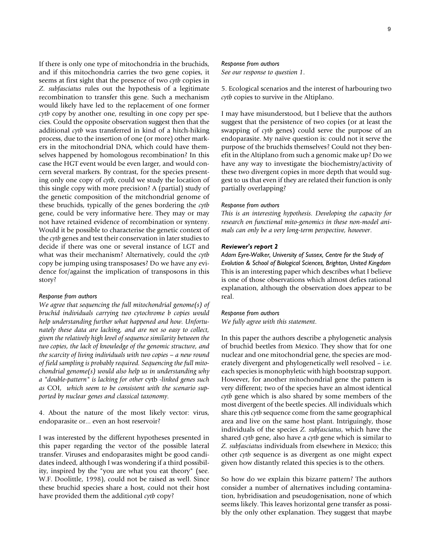If there is only one type of mitochondria in the bruchids, and if this mitochondria carries the two gene copies, it seems at first sight that the presence of two *cytb* copies in *Z. subfasciatus* rules out the hypothesis of a legitimate recombination to transfer this gene. Such a mechanism would likely have led to the replacement of one former *cytb* copy by another one, resulting in one copy per species. Could the opposite observation suggest then that the additional *cytb* was transferred in kind of a hitch-hiking process, due to the insertion of one (or more) other markers in the mitochondrial DNA, which could have themselves happened by homologous recombination? In this case the HGT event would be even larger, and would concern several markers. By contrast, for the species presenting only one copy of *cytb*, could we study the location of this single copy with more precision? A (partial) study of the genetic composition of the mitchondrial genome of these bruchids, typically of the genes bordering the *cytb* gene, could be very informative here. They may or may not have retained evidence of recombination or synteny. Would it be possible to characterise the genetic context of the *cytb* genes and test their conservation in later studies to decide if there was one or several instance of LGT and what was their mechanism? Alternatively, could the *cytb* copy be jumping using transposases? Do we have any evidence for/against the implication of transposons in this story?

#### *Response from authors*

*We agree that sequencing the full mitochondrial genome(s) of bruchid individuals carrying two cytochrome b copies would help understanding further what happened and how. Unfortunately these data are lacking, and are not so easy to collect, given the relatively high level of sequence similarity between the two copies, the lack of knowledge of the genomic structure, and the scarcity of living individuals with two copies – a new round of field sampling is probably required. Sequencing the full mitochondrial genome(s) would also help us in understanding why a "double-pattern" is lacking for other* cytb *-linked genes such as* COI, *which seem to be consistent with the scenario supported by nuclear genes and classical taxonomy*.

4. About the nature of the most likely vector: virus, endoparasite or... even an host reservoir?

I was interested by the different hypotheses presented in this paper regarding the vector of the possible lateral transfer. Viruses and endoparasites might be good candidates indeed, although I was wondering if a third possibility, inspired by the "you are what you eat theory" (see. W.F. Doolittle, 1998), could not be raised as well. Since these bruchid species share a host, could not their host have provided them the additional *cytb* copy?

#### *Response from authors*

*See our response to question 1*.

5. Ecological scenarios and the interest of harbouring two *cytb* copies to survive in the Altiplano.

I may have misunderstood, but I believe that the authors suggest that the persistence of two copies (or at least the swapping of *cytb* genes) could serve the purpose of an endoparasite. My naïve question is: could not it serve the purpose of the bruchids themselves? Could not they benefit in the Altiplano from such a genomic make up? Do we have any way to investigate the biochemistry/activity of these two divergent copies in more depth that would suggest to us that even if they are related their function is only partially overlapping?

## *Response from authors*

*This is an interesting hypothesis. Developing the capacity for research on functional mito-genomics in these non-model animals can only be a very long-term perspective, however*.

#### *Reviewer's report 2*

*Adam Eyre-Walker, University of Sussex, Centre for the Study of Evolution & School of Biological Sciences, Brighton, United Kingdom* This is an interesting paper which describes what I believe is one of those observations which almost defies rational explanation, although the observation does appear to be real.

#### *Response from authors*

*We fully agree with this statement*.

In this paper the authors describe a phylogenetic analysis of bruchid beetles from Mexico. They show that for one nuclear and one mitochondrial gene, the species are moderately divergent and phylogenetically well resolved – i.e. each species is monophyletic with high bootstrap support. However, for another mitochondrial gene the pattern is very different; two of the species have an almost identical *cytb* gene which is also shared by some members of the most divergent of the beetle species. All individuals which share this *cytb* sequence come from the same geographical area and live on the same host plant. Intriguingly, those individuals of the species *Z. subfasciatus*, which have the shared *cytb* gene, also have a *cytb* gene which is similar to *Z. subfasciatus* individuals from elsewhere in Mexico; this other *cytb* sequence is as divergent as one might expect given how distantly related this species is to the others.

So how do we explain this bizarre pattern? The authors consider a number of alternatives including contamination, hybridisation and pseudogenisation, none of which seems likely. This leaves horizontal gene transfer as possibly the only other explanation. They suggest that maybe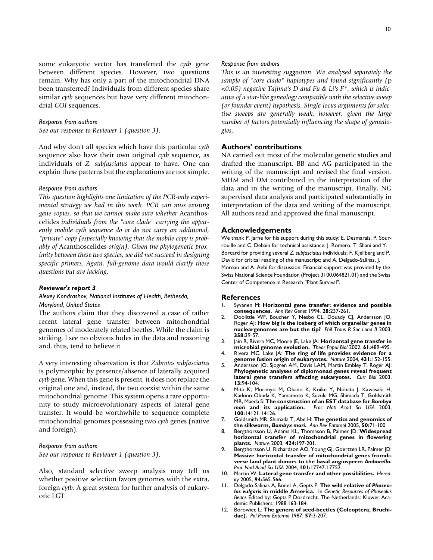some eukaryotic vector has transferred the *cytb* gene between different species. However, two questions remain. Why has only a part of the mitochondrial DNA been transferred? Individuals from different species share similar *cytb* sequences but have very different mitochondrial *COI* sequences.

#### *Response from authors*

*See our response to Reviewer 1 (question 3)*.

And why don't all species which have this particular *cytb* sequence also have their own original *cytb* sequence, as individuals of *Z. subfasciatus* appear to have. One can explain these patterns but the explanations are not simple.

#### *Response from authors*

*This question highlights one limitation of the PCR-only experimental strategy we had in this work. PCR can miss existing gene copies, so that we cannot make sure whether* Acanthoscelides *individuals from the "core clade" carrying the apparently mobile cytb sequence do or do not carry an additional, "private" copy (especially knowing that the mobile copy is probably of* Acanthoscelides *origin). Given the phylogenetic proximity between these two species, we did not succeed in designing specific primers. Again, full-genome data would clarify these questions but are lacking*.

#### *Reviewer's report 3*

## *Alexey Kondrashov, National Institutes of Health, Bethesda, Maryland, United States*

The authors claim that they discovered a case of rather recent lateral gene transfer between mitochondrial genomes of moderately related beetles. While the claim is striking, I see no obvious holes in the data and reasoning and, thus, tend to believe it.

A very interesting observation is that *Zabrotes subfasciatus* is polymorphic by presence/absence of laterally acquired *cytb* gene. When this gene is present, it does not replace the original one and, instead, the two coexist within the same mitochondrial genome. This system opens a rare opportunity to study microevolutionary aspects of lateral gene transfer. It would be worthwhile to sequence complete mitochondrial genomes possessing two *cytb* genes (native and foreign).

## *Response from authors*

*See our response to Reviewer 1 (question 3)*.

Also, standard selective sweep analysis may tell us whether positive selection favors genomes with the extra, foreign *cytb*. A great system for further analysis of eukaryotic LGT.

#### *Response from authors*

*This is an interesting suggestion. We analysed separately the sample of "core clade" haplotypes and found significantly (*p <*0.05) negative Tajima's D and Fu & Li's F\*, which is indicative of a star-like genealogy compatible with the selective sweep (or founder event) hypothesis. Single-locus arguments for selective sweeps are generally weak, however, given the large number of factors potentially influencing the shape of genealogies*.

# **Authors' contributions**

NA carried out most of the molecular genetic studies and drafted the manuscript. BB and AG participated in the writing of the manuscript and revised the final version. MHM and DM contributed in the interpretation of the data and in the writing of the manuscript. Finally, NG supervised data analysis and participated substantially in interpretation of the data and writing of the manuscript. All authors read and approved the final manuscript.

#### **Acknowledgements**

We thank P. Jarne for his support during this study; E. Desmarais, P. Sourrouille and C. Debain for technical assistance; J. Romero, T. Shani and Y. Borcard for providing several *Z. subfasciatus* individuals; F. Kjellberg and P. David for critical reading of the manuscript; and A. Delgado-Salinas, J. Moreau and A. Aebi for discussion. Financial support was provided by the Swiss National Science Foundation (Project 3100.064821.01) and the Swiss Center of Competence in Research "Plant Survival".

#### **References**

- 1. Syvanen M: **[Horizontal gene transfer: evidence and possible](http://www.ncbi.nlm.nih.gov/entrez/query.fcgi?cmd=Retrieve&db=PubMed&dopt=Abstract&list_uids=7893125) [consequences.](http://www.ncbi.nlm.nih.gov/entrez/query.fcgi?cmd=Retrieve&db=PubMed&dopt=Abstract&list_uids=7893125)** *Ann Rev Genet* 1994, **28:**237-261.
- 2. Doolittle WF, Boucher Y, Nesbo CL, Douady CJ, Andersson JO, Roger AJ: **How big is the iceberg of which organellar genes in nucleargenomes are but the tip?** *Phil Trans R Soc Lond B* 2003, **358:**39-57.
- 3. Jain R, Rivera MC, Moore JE, Lake JA: **[Horizontal gene transfer in](http://www.ncbi.nlm.nih.gov/entrez/query.fcgi?cmd=Retrieve&db=PubMed&dopt=Abstract&list_uids=12167368) [microbial genome evolution.](http://www.ncbi.nlm.nih.gov/entrez/query.fcgi?cmd=Retrieve&db=PubMed&dopt=Abstract&list_uids=12167368)** *Theor Popul Biol* 2002, **61:**489-495.
- 4. Rivera MC, Lake JA: **[The ring of life provides evidence](http://www.ncbi.nlm.nih.gov/entrez/query.fcgi?cmd=Retrieve&db=PubMed&dopt=Abstract&list_uids=15356622) for a [genome fusion origin of eukaryotes.](http://www.ncbi.nlm.nih.gov/entrez/query.fcgi?cmd=Retrieve&db=PubMed&dopt=Abstract&list_uids=15356622)** *Nature* 2004, **431:**152-155.
- 5. Andersson JO, Sjogren AM, Davis LAM, Martin Embley T, Roger AJ: **[Phylogenetic analyses of diplomonad genes reveal frequent](http://www.ncbi.nlm.nih.gov/entrez/query.fcgi?cmd=Retrieve&db=PubMed&dopt=Abstract&list_uids=12546782) [lateral gene transfers affecting eukaryotes.](http://www.ncbi.nlm.nih.gov/entrez/query.fcgi?cmd=Retrieve&db=PubMed&dopt=Abstract&list_uids=12546782)** *Curr Biol* 2003, **13:**94-104.
- 6. Mita K, Morimyo M, Okano K, Koike Y, Nohata J, Kawasaki H, Kadono-Okuda K, Yamamoto K, Suzuki MG, Shimada T, Goldsmith MR, Maeda S: **The construction of an EST database for** *Bombyx mori* **[and its application.](http://www.ncbi.nlm.nih.gov/entrez/query.fcgi?cmd=Retrieve&db=PubMed&dopt=Abstract&list_uids=14614147)** *Proc Natl Acad Sci USA* 2003, **100:**14121-14126.
- 7. Goldsmith MR, Shimada T, Abe H: **The genetics and genomics of the silkworm,** *Bombyx mori***.** *Ann Rev Entomol* 2005, **50:**71-100.
- 8. Bergthorsson U, Adams KL, Thomason B, Palmer JD: **[Widespread](http://www.ncbi.nlm.nih.gov/entrez/query.fcgi?cmd=Retrieve&db=PubMed&dopt=Abstract&list_uids=12853958) [horizontal transfer of mitochondrial genes in flowering](http://www.ncbi.nlm.nih.gov/entrez/query.fcgi?cmd=Retrieve&db=PubMed&dopt=Abstract&list_uids=12853958) [plants.](http://www.ncbi.nlm.nih.gov/entrez/query.fcgi?cmd=Retrieve&db=PubMed&dopt=Abstract&list_uids=12853958)** *Nature* 2003, **424:**197-201.
- 9. Bergthorsson U, Richardson AO, Young GJ, Goertzen LR, Palmer JD: **Massive horizontal transfer of mitochondrial genes fromdiverse land plant donors to the basal angiosperm** *Amborella***[.](http://www.ncbi.nlm.nih.gov/entrez/query.fcgi?cmd=Retrieve&db=PubMed&dopt=Abstract&list_uids=15598737)** *Proc Natl Acad Sci USA* 2004, **101:**17747-17752.
- 10. Martin W: **[Lateral gene transfer and other possibilities.](http://www.ncbi.nlm.nih.gov/entrez/query.fcgi?cmd=Retrieve&db=PubMed&dopt=Abstract&list_uids=15798778)** *Heredity* 2005, **94:**565-566.
- 11. Delgado-Salinas A, Bonet A, Gepts P: **The wild relative of** *Phaseolus vulgaris* **in middle America.** In *Genetic Resources of Phaseolus Beans* Edited by: Gepts P Dordrecht. The Netherlands: Kluwer Academic Publishers; 1988:163-184.
- 12. Borowiec L: **The genera of seed-beetles (Coleoptera, Bruchidae).** *Pol Pismo Entomol* 1987, **57:**3-207.